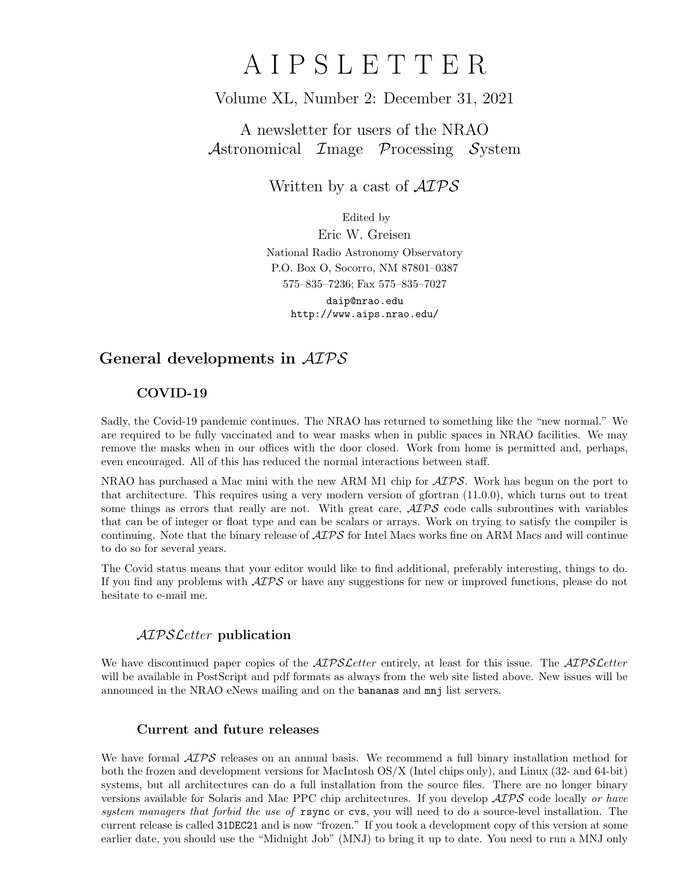# A I P S L E T T E R

## Volume XL, Number 2: December 31, 2021

# A newsletter for users of the NRAO Astronomical Image Processing System

Written by a cast of  $\mathcal{AIPS}$ 

Edited by

Eric W. Greisen National Radio Astronomy Observatory P.O. Box O, Socorro, NM 87801–0387 575–835–7236; Fax 575–835–7027 daip@nrao.edu http://www.aips.nrao.edu/

# General developments in AIPS

## COVID-19

Sadly, the Covid-19 pandemic continues. The NRAO has returned to something like the "new normal." We are required to be fully vaccinated and to wear masks when in public spaces in NRAO facilities. We may remove the masks when in our offices with the door closed. Work from home is permitted and, perhaps, even encouraged. All of this has reduced the normal interactions between staff.

NRAO has purchased a Mac mini with the new ARM M1 chip for  $\mathcal{AIPS}$ . Work has begun on the port to that architecture. This requires using a very modern version of gfortran (11.0.0), which turns out to treat some things as errors that really are not. With great care,  $\mathcal{AIPS}$  code calls subroutines with variables that can be of integer or float type and can be scalars or arrays. Work on trying to satisfy the compiler is continuing. Note that the binary release of  $\mathcal{AIPS}$  for Intel Macs works fine on ARM Macs and will continue to do so for several years.

The Covid status means that your editor would like to find additional, preferably interesting, things to do. If you find any problems with  $\mathcal{AIPS}$  or have any suggestions for new or improved functions, please do not hesitate to e-mail me.

### AIPSLetter publication

We have discontinued paper copies of the *AIPS Letter* entirely, at least for this issue. The *AIPS Letter* will be available in PostScript and pdf formats as always from the web site listed above. New issues will be announced in the NRAO eNews mailing and on the bananas and mnj list servers.

### Current and future releases

We have formal  $\mathcal{AIPS}$  releases on an annual basis. We recommend a full binary installation method for both the frozen and development versions for MacIntosh OS/X (Intel chips only), and Linux (32- and 64-bit) systems, but all architectures can do a full installation from the source files. There are no longer binary versions available for Solaris and Mac PPC chip architectures. If you develop AIPS code locally or have system managers that forbid the use of rsync or cvs, you will need to do a source-level installation. The current release is called 31DEC21 and is now "frozen." If you took a development copy of this version at some earlier date, you should use the "Midnight Job" (MNJ) to bring it up to date. You need to run a MNJ only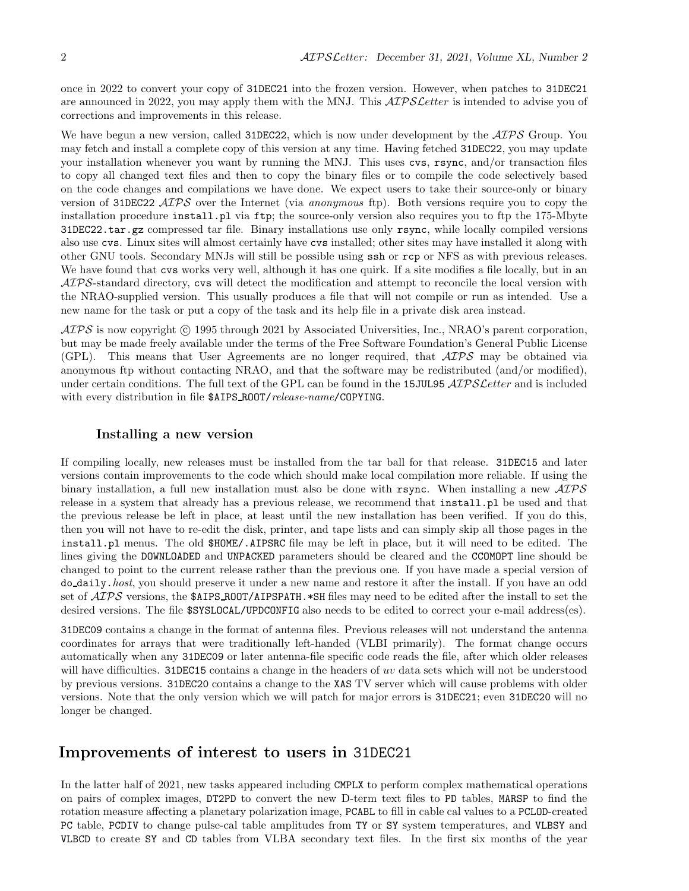once in 2022 to convert your copy of 31DEC21 into the frozen version. However, when patches to 31DEC21 are announced in 2022, you may apply them with the MNJ. This  $\mathcal{ATPSL}$ etter is intended to advise you of corrections and improvements in this release.

We have begun a new version, called 31DEC22, which is now under development by the  $\mathcal{AIPS}$  Group. You may fetch and install a complete copy of this version at any time. Having fetched 31DEC22, you may update your installation whenever you want by running the MNJ. This uses cvs, rsync, and/or transaction files to copy all changed text files and then to copy the binary files or to compile the code selectively based on the code changes and compilations we have done. We expect users to take their source-only or binary version of 31DEC22 AIPS over the Internet (via anonymous ftp). Both versions require you to copy the installation procedure install.pl via ftp; the source-only version also requires you to ftp the 175-Mbyte 31DEC22.tar.gz compressed tar file. Binary installations use only rsync, while locally compiled versions also use cvs. Linux sites will almost certainly have cvs installed; other sites may have installed it along with other GNU tools. Secondary MNJs will still be possible using ssh or rcp or NFS as with previous releases. We have found that cvs works very well, although it has one quirk. If a site modifies a file locally, but in an AIPS-standard directory, cvs will detect the modification and attempt to reconcile the local version with the NRAO-supplied version. This usually produces a file that will not compile or run as intended. Use a new name for the task or put a copy of the task and its help file in a private disk area instead.

 $\langle \mathcal{A} \mathcal{I} \mathcal{P} \mathcal{S} \rangle$  is now copyright (c) 1995 through 2021 by Associated Universities, Inc., NRAO's parent corporation, but may be made freely available under the terms of the Free Software Foundation's General Public License (GPL). This means that User Agreements are no longer required, that AIPS may be obtained via anonymous ftp without contacting NRAO, and that the software may be redistributed (and/or modified), under certain conditions. The full text of the GPL can be found in the 15JUL95 AIPS Letter and is included with every distribution in file  $\frac{1}{2}$  AIPS ROOT/release-name/COPYING.

#### Installing a new version

If compiling locally, new releases must be installed from the tar ball for that release. 31DEC15 and later versions contain improvements to the code which should make local compilation more reliable. If using the binary installation, a full new installation must also be done with rsync. When installing a new AIPS release in a system that already has a previous release, we recommend that install.pl be used and that the previous release be left in place, at least until the new installation has been verified. If you do this, then you will not have to re-edit the disk, printer, and tape lists and can simply skip all those pages in the install.pl menus. The old \$HOME/.AIPSRC file may be left in place, but it will need to be edited. The lines giving the DOWNLOADED and UNPACKED parameters should be cleared and the CCOMOPT line should be changed to point to the current release rather than the previous one. If you have made a special version of do daily.host, you should preserve it under a new name and restore it after the install. If you have an odd set of  $\mathcal{A} \mathcal{I} \mathcal{P} \mathcal{S}$  versions, the \$AIPS\_ROOT/AIPSPATH. \*SH files may need to be edited after the install to set the desired versions. The file  $$SYSLOCAL/UPDCONFIG$  also needs to be edited to correct your e-mail address(es).

31DEC09 contains a change in the format of antenna files. Previous releases will not understand the antenna coordinates for arrays that were traditionally left-handed (VLBI primarily). The format change occurs automatically when any 31DEC09 or later antenna-file specific code reads the file, after which older releases will have difficulties. 31DEC15 contains a change in the headers of uv data sets which will not be understood by previous versions. 31DEC20 contains a change to the XAS TV server which will cause problems with older versions. Note that the only version which we will patch for major errors is 31DEC21; even 31DEC20 will no longer be changed.

## Improvements of interest to users in 31DEC21

In the latter half of 2021, new tasks appeared including CMPLX to perform complex mathematical operations on pairs of complex images, DT2PD to convert the new D-term text files to PD tables, MARSP to find the rotation measure affecting a planetary polarization image, PCABL to fill in cable cal values to a PCLOD-created PC table, PCDIV to change pulse-cal table amplitudes from TY or SY system temperatures, and VLBSY and VLBCD to create SY and CD tables from VLBA secondary text files. In the first six months of the year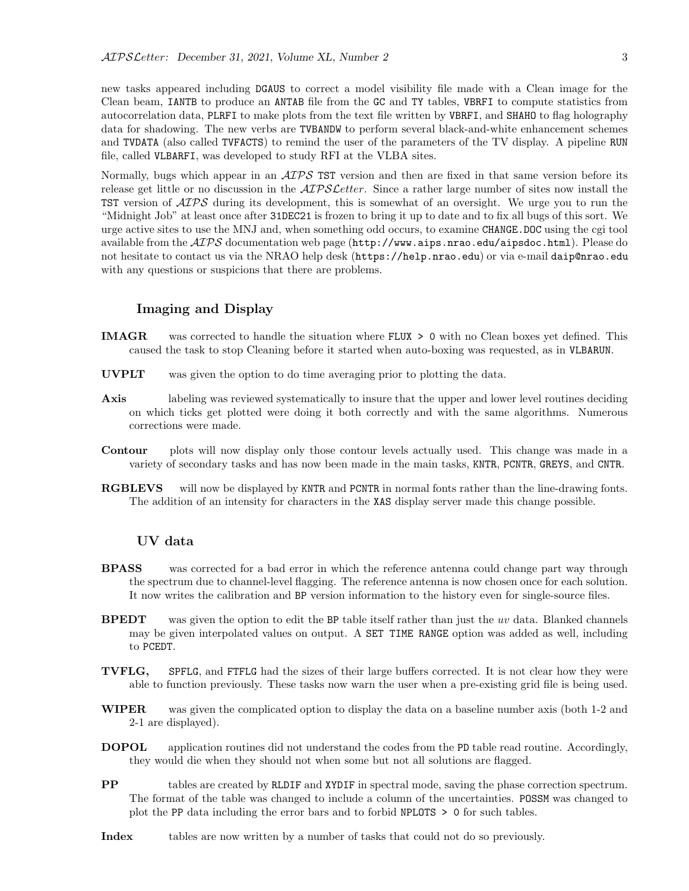new tasks appeared including DGAUS to correct a model visibility file made with a Clean image for the Clean beam, IANTB to produce an ANTAB file from the GC and TY tables, VBRFI to compute statistics from autocorrelation data, PLRFI to make plots from the text file written by VBRFI, and SHAHO to flag holography data for shadowing. The new verbs are TVBANDW to perform several black-and-white enhancement schemes and TVDATA (also called TVFACTS) to remind the user of the parameters of the TV display. A pipeline RUN file, called VLBARFI, was developed to study RFI at the VLBA sites.

Normally, bugs which appear in an  $\mathcal{AIPS}$  TST version and then are fixed in that same version before its release get little or no discussion in the  $\mathcal{AIPSLetter}$ . Since a rather large number of sites now install the TST version of  $\mathcal{A} \mathcal{I} \mathcal{P} \mathcal{S}$  during its development, this is somewhat of an oversight. We urge you to run the "Midnight Job" at least once after 31DEC21 is frozen to bring it up to date and to fix all bugs of this sort. We urge active sites to use the MNJ and, when something odd occurs, to examine CHANGE.DOC using the cgi tool available from the  $\mathcal{AIPS}$  documentation web page (http://www.aips.nrao.edu/aipsdoc.html). Please do not hesitate to contact us via the NRAO help desk (https://help.nrao.edu) or via e-mail daip@nrao.edu with any questions or suspicions that there are problems.

#### Imaging and Display

- IMAGR was corrected to handle the situation where FLUX > 0 with no Clean boxes yet defined. This caused the task to stop Cleaning before it started when auto-boxing was requested, as in VLBARUN.
- UVPLT was given the option to do time averaging prior to plotting the data.
- Axis labeling was reviewed systematically to insure that the upper and lower level routines deciding on which ticks get plotted were doing it both correctly and with the same algorithms. Numerous corrections were made.
- Contour plots will now display only those contour levels actually used. This change was made in a variety of secondary tasks and has now been made in the main tasks, KNTR, PCNTR, GREYS, and CNTR.
- RGBLEVS will now be displayed by KNTR and PCNTR in normal fonts rather than the line-drawing fonts. The addition of an intensity for characters in the XAS display server made this change possible.

#### UV data

- **BPASS** was corrected for a bad error in which the reference antenna could change part way through the spectrum due to channel-level flagging. The reference antenna is now chosen once for each solution. It now writes the calibration and BP version information to the history even for single-source files.
- **BPEDT** was given the option to edit the BP table itself rather than just the uv data. Blanked channels may be given interpolated values on output. A SET TIME RANGE option was added as well, including to PCEDT.
- TVFLG, SPFLG, and FTFLG had the sizes of their large buffers corrected. It is not clear how they were able to function previously. These tasks now warn the user when a pre-existing grid file is being used.
- WIPER was given the complicated option to display the data on a baseline number axis (both 1-2 and 2-1 are displayed).
- DOPOL application routines did not understand the codes from the PD table read routine. Accordingly, they would die when they should not when some but not all solutions are flagged.
- PP tables are created by RLDIF and XYDIF in spectral mode, saving the phase correction spectrum. The format of the table was changed to include a column of the uncertainties. POSSM was changed to plot the PP data including the error bars and to forbid NPLOTS > 0 for such tables.
- Index tables are now written by a number of tasks that could not do so previously.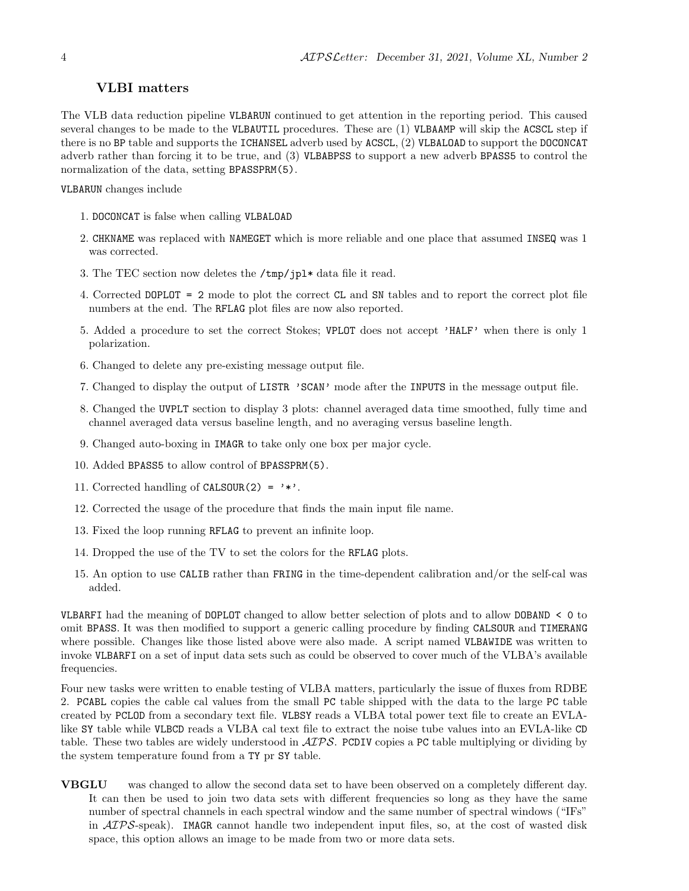#### VLBI matters

The VLB data reduction pipeline VLBARUN continued to get attention in the reporting period. This caused several changes to be made to the VLBAUTIL procedures. These are (1) VLBAAMP will skip the ACSCL step if there is no BP table and supports the ICHANSEL adverb used by ACSCL, (2) VLBALOAD to support the DOCONCAT adverb rather than forcing it to be true, and (3) VLBABPSS to support a new adverb BPASS5 to control the normalization of the data, setting BPASSPRM(5).

VLBARUN changes include

- 1. DOCONCAT is false when calling VLBALOAD
- 2. CHKNAME was replaced with NAMEGET which is more reliable and one place that assumed INSEQ was 1 was corrected.
- 3. The TEC section now deletes the /tmp/jpl\* data file it read.
- 4. Corrected DOPLOT = 2 mode to plot the correct CL and SN tables and to report the correct plot file numbers at the end. The RFLAG plot files are now also reported.
- 5. Added a procedure to set the correct Stokes; VPLOT does not accept 'HALF' when there is only 1 polarization.
- 6. Changed to delete any pre-existing message output file.
- 7. Changed to display the output of LISTR 'SCAN' mode after the INPUTS in the message output file.
- 8. Changed the UVPLT section to display 3 plots: channel averaged data time smoothed, fully time and channel averaged data versus baseline length, and no averaging versus baseline length.
- 9. Changed auto-boxing in IMAGR to take only one box per major cycle.
- 10. Added BPASS5 to allow control of BPASSPRM(5).
- 11. Corrected handling of CALSOUR(2) =  $'$ \*'.
- 12. Corrected the usage of the procedure that finds the main input file name.
- 13. Fixed the loop running RFLAG to prevent an infinite loop.
- 14. Dropped the use of the TV to set the colors for the RFLAG plots.
- 15. An option to use CALIB rather than FRING in the time-dependent calibration and/or the self-cal was added.

VLBARFI had the meaning of DOPLOT changed to allow better selection of plots and to allow DOBAND < 0 to omit BPASS. It was then modified to support a generic calling procedure by finding CALSOUR and TIMERANG where possible. Changes like those listed above were also made. A script named VLBAWIDE was written to invoke VLBARFI on a set of input data sets such as could be observed to cover much of the VLBA's available frequencies.

Four new tasks were written to enable testing of VLBA matters, particularly the issue of fluxes from RDBE 2. PCABL copies the cable cal values from the small PC table shipped with the data to the large PC table created by PCLOD from a secondary text file. VLBSY reads a VLBA total power text file to create an EVLAlike SY table while VLBCD reads a VLBA cal text file to extract the noise tube values into an EVLA-like CD table. These two tables are widely understood in  $\mathcal{AIPS}$ . PCDIV copies a PC table multiplying or dividing by the system temperature found from a TY pr SY table.

VBGLU was changed to allow the second data set to have been observed on a completely different day. It can then be used to join two data sets with different frequencies so long as they have the same number of spectral channels in each spectral window and the same number of spectral windows ("IFs" in  $\mathcal{AIPS}$ -speak). IMAGR cannot handle two independent input files, so, at the cost of wasted disk space, this option allows an image to be made from two or more data sets.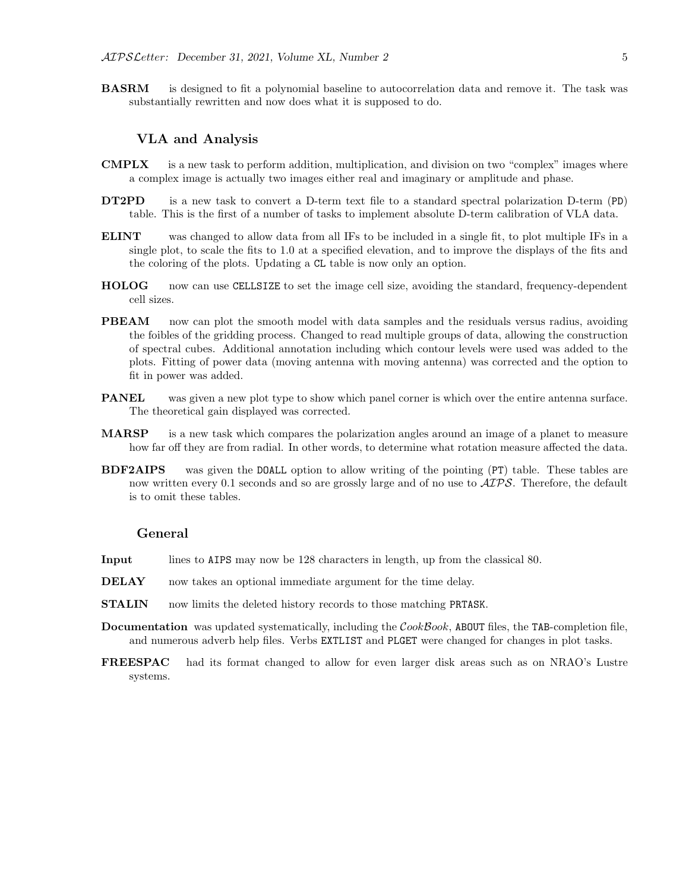**BASRM** is designed to fit a polynomial baseline to autocorrelation data and remove it. The task was substantially rewritten and now does what it is supposed to do.

#### VLA and Analysis

- CMPLX is a new task to perform addition, multiplication, and division on two "complex" images where a complex image is actually two images either real and imaginary or amplitude and phase.
- DT2PD is a new task to convert a D-term text file to a standard spectral polarization D-term (PD) table. This is the first of a number of tasks to implement absolute D-term calibration of VLA data.
- ELINT was changed to allow data from all IFs to be included in a single fit, to plot multiple IFs in a single plot, to scale the fits to 1.0 at a specified elevation, and to improve the displays of the fits and the coloring of the plots. Updating a CL table is now only an option.
- HOLOG now can use CELLSIZE to set the image cell size, avoiding the standard, frequency-dependent cell sizes.
- **PBEAM** now can plot the smooth model with data samples and the residuals versus radius, avoiding the foibles of the gridding process. Changed to read multiple groups of data, allowing the construction of spectral cubes. Additional annotation including which contour levels were used was added to the plots. Fitting of power data (moving antenna with moving antenna) was corrected and the option to fit in power was added.
- **PANEL** was given a new plot type to show which panel corner is which over the entire antenna surface. The theoretical gain displayed was corrected.
- MARSP is a new task which compares the polarization angles around an image of a planet to measure how far off they are from radial. In other words, to determine what rotation measure affected the data.
- BDF2AIPS was given the DOALL option to allow writing of the pointing (PT) table. These tables are now written every 0.1 seconds and so are grossly large and of no use to  $\mathcal{AIPS}$ . Therefore, the default is to omit these tables.

#### General

- Input lines to AIPS may now be 128 characters in length, up from the classical 80.
- DELAY now takes an optional immediate argument for the time delay.
- STALIN now limits the deleted history records to those matching PRTASK.
- **Documentation** was updated systematically, including the  $CookBook$ , ABOUT files, the TAB-completion file, and numerous adverb help files. Verbs EXTLIST and PLGET were changed for changes in plot tasks.
- FREESPAC had its format changed to allow for even larger disk areas such as on NRAO's Lustre systems.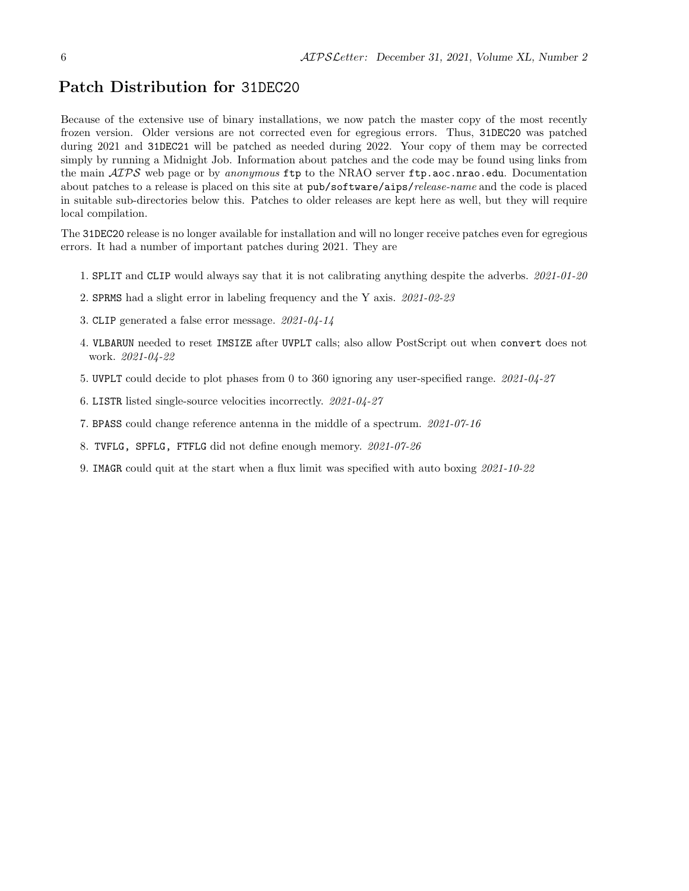## Patch Distribution for 31DEC20

Because of the extensive use of binary installations, we now patch the master copy of the most recently frozen version. Older versions are not corrected even for egregious errors. Thus, 31DEC20 was patched during 2021 and 31DEC21 will be patched as needed during 2022. Your copy of them may be corrected simply by running a Midnight Job. Information about patches and the code may be found using links from the main  $AIPS$  web page or by anonymous ftp to the NRAO server ftp.aoc.nrao.edu. Documentation about patches to a release is placed on this site at pub/software/aips/release-name and the code is placed in suitable sub-directories below this. Patches to older releases are kept here as well, but they will require local compilation.

The 31DEC20 release is no longer available for installation and will no longer receive patches even for egregious errors. It had a number of important patches during 2021. They are

- 1. SPLIT and CLIP would always say that it is not calibrating anything despite the adverbs. 2021-01-20
- 2. SPRMS had a slight error in labeling frequency and the Y axis. 2021-02-23
- 3. CLIP generated a false error message. 2021-04-14
- 4. VLBARUN needed to reset IMSIZE after UVPLT calls; also allow PostScript out when convert does not work. 2021-04-22
- 5. UVPLT could decide to plot phases from 0 to 360 ignoring any user-specified range. 2021-04-27
- 6. LISTR listed single-source velocities incorrectly. 2021-04-27
- 7. BPASS could change reference antenna in the middle of a spectrum. 2021-07-16
- 8. TVFLG, SPFLG, FTFLG did not define enough memory. 2021-07-26
- 9. IMAGR could quit at the start when a flux limit was specified with auto boxing 2021-10-22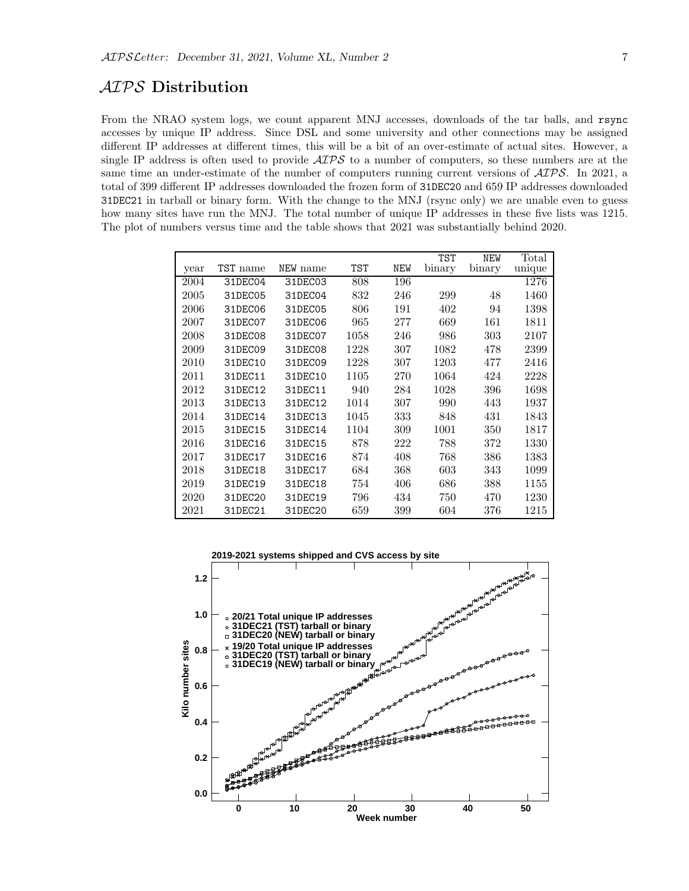## AIPS Distribution

From the NRAO system logs, we count apparent MNJ accesses, downloads of the tar balls, and rsync accesses by unique IP address. Since DSL and some university and other connections may be assigned different IP addresses at different times, this will be a bit of an over-estimate of actual sites. However, a single IP address is often used to provide  $\mathcal{AIPS}$  to a number of computers, so these numbers are at the same time an under-estimate of the number of computers running current versions of  $\mathcal{AIPS}$ . In 2021, a total of 399 different IP addresses downloaded the frozen form of 31DEC20 and 659 IP addresses downloaded 31DEC21 in tarball or binary form. With the change to the MNJ (rsync only) we are unable even to guess how many sites have run the MNJ. The total number of unique IP addresses in these five lists was 1215. The plot of numbers versus time and the table shows that 2021 was substantially behind 2020.

|      |          |          |      |     | <b>TST</b> | <b>NEW</b> | Total  |
|------|----------|----------|------|-----|------------|------------|--------|
| year | TST name | NEW name | TST  | NEW | binary     | binary     | unique |
| 2004 | 31DEC04  | 31DEC03  | 808  | 196 |            |            | 1276   |
| 2005 | 31DEC05  | 31DEC04  | 832  | 246 | 299        | 48         | 1460   |
| 2006 | 31DEC06  | 31DEC05  | 806  | 191 | 402        | 94         | 1398   |
| 2007 | 31DEC07  | 31DEC06  | 965  | 277 | 669        | 161        | 1811   |
| 2008 | 31DEC08  | 31DEC07  | 1058 | 246 | 986        | 303        | 2107   |
| 2009 | 31DEC09  | 31DEC08  | 1228 | 307 | 1082       | 478        | 2399   |
| 2010 | 31DEC10  | 31DEC09  | 1228 | 307 | 1203       | 477        | 2416   |
| 2011 | 31DEC11  | 31DEC10  | 1105 | 270 | 1064       | 424        | 2228   |
| 2012 | 31DEC12  | 31DEC11  | 940  | 284 | 1028       | 396        | 1698   |
| 2013 | 31DEC13  | 31DEC12  | 1014 | 307 | 990        | 443        | 1937   |
| 2014 | 31DEC14  | 31DEC13  | 1045 | 333 | 848        | 431        | 1843   |
| 2015 | 31DEC15  | 31DEC14  | 1104 | 309 | 1001       | 350        | 1817   |
| 2016 | 31DEC16  | 31DEC15  | 878  | 222 | 788        | 372        | 1330   |
| 2017 | 31DEC17  | 31DEC16  | 874  | 408 | 768        | 386        | 1383   |
| 2018 | 31DEC18  | 31DEC17  | 684  | 368 | 603        | 343        | 1099   |
| 2019 | 31DEC19  | 31DEC18  | 754  | 406 | 686        | 388        | 1155   |
| 2020 | 31DEC20  | 31DEC19  | 796  | 434 | 750        | 470        | 1230   |
| 2021 | 31DEC21  | 31DEC20  | 659  | 399 | 604        | 376        | 1215   |